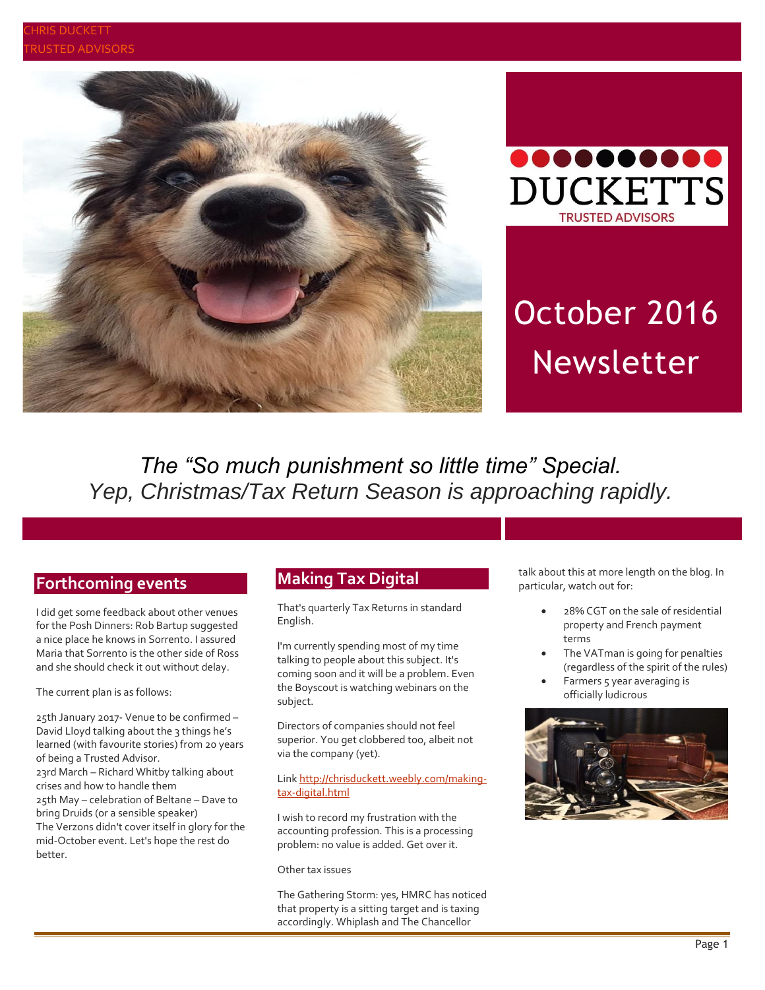



# October 2016 Newsletter

*The "So much punishment so little time" Special. Yep, Christmas/Tax Return Season is approaching rapidly.*

## **Forthcoming events**

I did get some feedback about other venues for the Posh Dinners: Rob Bartup suggested a nice place he knows in Sorrento. I assured Maria that Sorrento is the other side of Ross and she should check it out without delay.

The current plan is as follows:

25th January 2017- Venue to be confirmed – David Lloyd talking about the 3 things he's learned (with favourite stories) from 20 years of being a Trusted Advisor. 23rd March – Richard Whitby talking about crises and how to handle them 25th May – celebration of Beltane – Dave to bring Druids (or a sensible speaker) The Verzons didn't cover itself in glory for the mid-October event. Let's hope the rest do better.

## **Making Tax Digital**

That's quarterly Tax Returns in standard English.

I'm currently spending most of my time talking to people about this subject. It's coming soon and it will be a problem. Even the Boyscout is watching webinars on the subject.

Directors of companies should not feel superior. You get clobbered too, albeit not via the company (yet).

#### Link [http://chrisduckett.weebly.com/making](http://chrisduckett.weebly.com/making-tax-digital.html)[tax-digital.html](http://chrisduckett.weebly.com/making-tax-digital.html)

I wish to record my frustration with the accounting profession. This is a processing problem: no value is added. Get over it.

Other tax issues

The Gathering Storm: yes, HMRC has noticed that property is a sitting target and is taxing accordingly. Whiplash and The Chancellor

talk about this at more length on the blog. In particular, watch out for:

- 28% CGT on the sale of residential property and French payment terms
- The VATman is going for penalties (regardless of the spirit of the rules)
- Farmers 5 year averaging is officially ludicrous

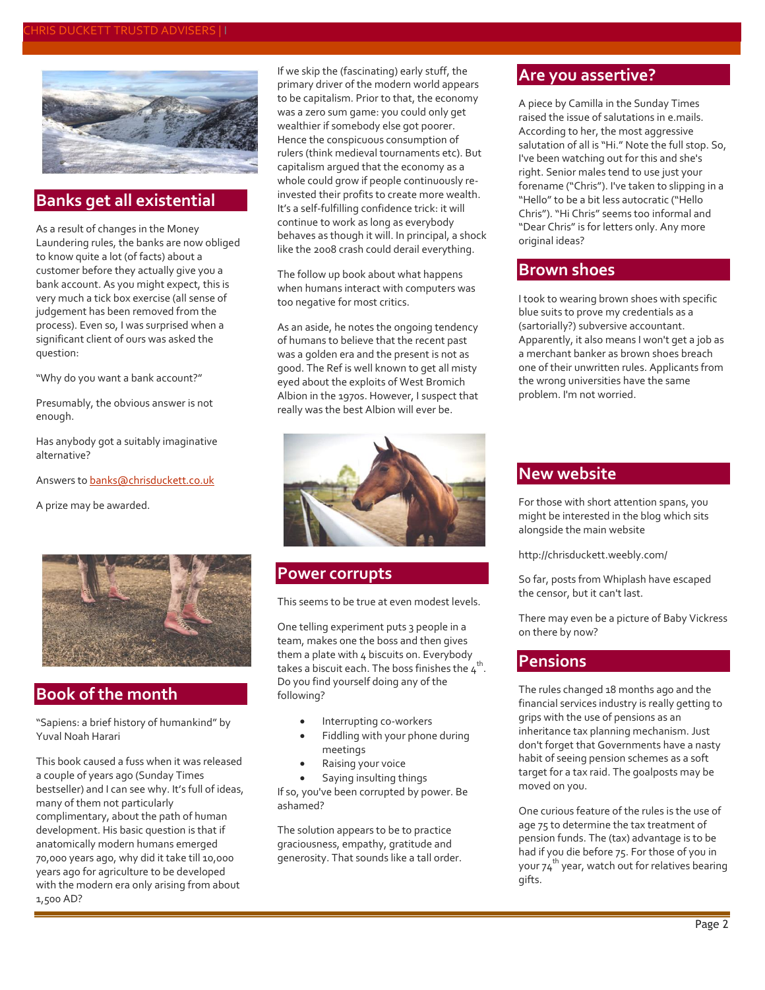#### CHRIS DUCKETT TRUSTD ADVISERS | I



#### **Banks get all existential**

As a result of changes in the Money Laundering rules, the banks are now obliged to know quite a lot (of facts) about a customer before they actually give you a bank account. As you might expect, this is very much a tick box exercise (all sense of judgement has been removed from the process). Even so, I was surprised when a significant client of ours was asked the question:

"Why do you want a bank account?"

Presumably, the obvious answer is not enough.

Has anybody got a suitably imaginative alternative?

Answers t[o banks@chrisduckett.co.uk](mailto:banks@chrisduckett.co.uk)

A prize may be awarded.



## **Book of the month**

"Sapiens: a brief history of humankind" by Yuval Noah Harari

This book caused a fuss when it was released a couple of years ago (Sunday Times bestseller) and I can see why. It's full of ideas, many of them not particularly complimentary, about the path of human development. His basic question is that if anatomically modern humans emerged 70,000 years ago, why did it take till 10,000 years ago for agriculture to be developed with the modern era only arising from about 1,500 AD?

If we skip the (fascinating) early stuff, the primary driver of the modern world appears to be capitalism. Prior to that, the economy was a zero sum game: you could only get wealthier if somebody else got poorer. Hence the conspicuous consumption of rulers (think medieval tournaments etc). But capitalism argued that the economy as a whole could grow if people continuously reinvested their profits to create more wealth. It's a self-fulfilling confidence trick: it will continue to work as long as everybody behaves as though it will. In principal, a shock like the 2008 crash could derail everything.

The follow up book about what happens when humans interact with computers was too negative for most critics.

As an aside, he notes the ongoing tendency of humans to believe that the recent past was a golden era and the present is not as good. The Ref is well known to get all misty eyed about the exploits of West Bromich Albion in the 1970s. However, I suspect that really was the best Albion will ever be.



#### **Power corrupts**

This seems to be true at even modest levels.

One telling experiment puts 3 people in a team, makes one the boss and then gives them a plate with 4 biscuits on. Everybody takes a biscuit each. The boss finishes the  $\tau^{\text{th}}$ . Do you find yourself doing any of the following?

- Interrupting co-workers
- Fiddling with your phone during meetings
- Raising your voice

 Saying insulting things If so, you've been corrupted by power. Be ashamed?

The solution appears to be to practice graciousness, empathy, gratitude and generosity. That sounds like a tall order.

## **Are you assertive?**

A piece by Camilla in the Sunday Times raised the issue of salutations in e.mails. According to her, the most aggressive salutation of all is "Hi." Note the full stop. So, I've been watching out for this and she's right. Senior males tend to use just your forename ("Chris"). I've taken to slipping in a "Hello" to be a bit less autocratic ("Hello Chris"). "Hi Chris" seems too informal and "Dear Chris" is for letters only. Any more original ideas?

#### **Brown shoes**

I took to wearing brown shoes with specific blue suits to prove my credentials as a (sartorially?) subversive accountant. Apparently, it also means I won't get a job as a merchant banker as brown shoes breach one of their unwritten rules. Applicants from the wrong universities have the same problem. I'm not worried.

## **New website**

For those with short attention spans, you might be interested in the blog which sits alongside the main website

http://chrisduckett.weebly.com/

So far, posts from Whiplash have escaped the censor, but it can't last.

There may even be a picture of Baby Vickress on there by now?

#### **Pensions**

The rules changed 18 months ago and the financial services industry is really getting to grips with the use of pensions as an inheritance tax planning mechanism. Just don't forget that Governments have a nasty habit of seeing pension schemes as a soft target for a tax raid. The goalposts may be moved on you.

One curious feature of the rules is the use of age 75 to determine the tax treatment of pension funds. The (tax) advantage is to be had if you die before 75. For those of you in your 74 th year, watch out for relatives bearing gifts.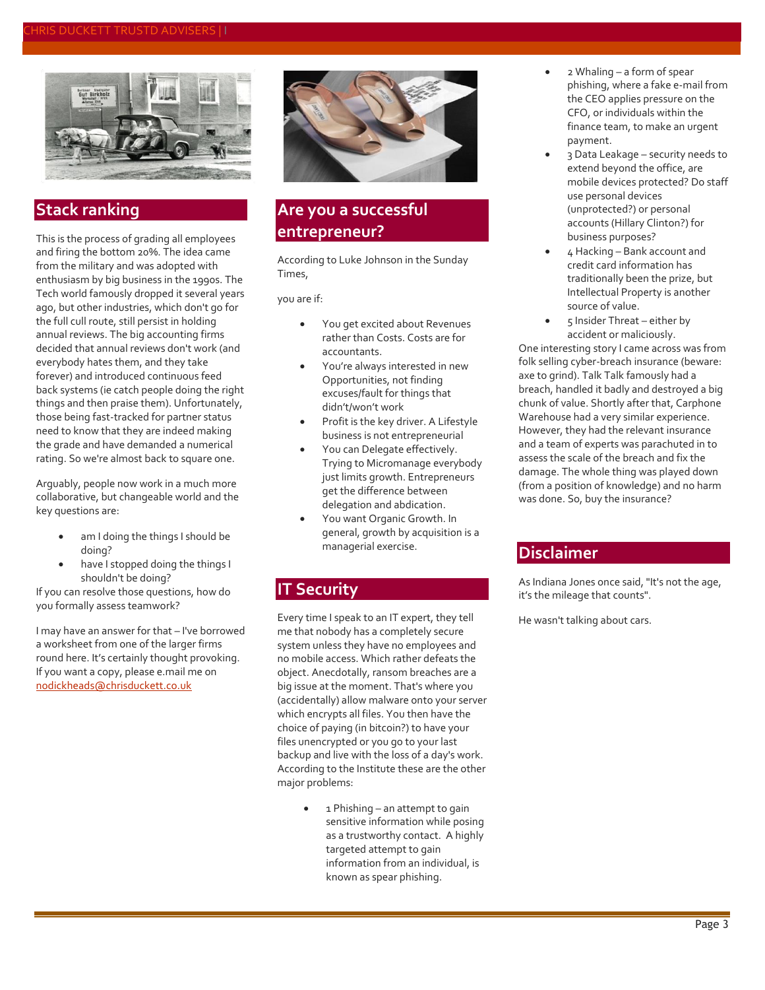

## **Stack ranking**

This is the process of grading all employees and firing the bottom 20%. The idea came from the military and was adopted with enthusiasm by big business in the 1990s. The Tech world famously dropped it several years ago, but other industries, which don't go for the full cull route, still persist in holding annual reviews. The big accounting firms decided that annual reviews don't work (and everybody hates them, and they take forever) and introduced continuous feed back systems (ie catch people doing the right things and then praise them). Unfortunately, those being fast-tracked for partner status need to know that they are indeed making the grade and have demanded a numerical rating. So we're almost back to square one.

Arguably, people now work in a much more collaborative, but changeable world and the key questions are:

- am I doing the things I should be doing?
- have I stopped doing the things I shouldn't be doing?

If you can resolve those questions, how do you formally assess teamwork?

I may have an answer for that – I've borrowed a worksheet from one of the larger firms round here. It's certainly thought provoking. If you want a copy, please e.mail me on [nodickheads@chrisduckett.co.uk](mailto:nodickheads@chrisduckett.co.uk)



## **Are you a successful entrepreneur?**

According to Luke Johnson in the Sunday Times,

you are if:

- You get excited about Revenues rather than Costs. Costs are for accountants.
- You're always interested in new Opportunities, not finding excuses/fault for things that didn't/won't work
- Profit is the key driver. A Lifestyle business is not entrepreneurial
- You can Delegate effectively. Trying to Micromanage everybody just limits growth. Entrepreneurs get the difference between delegation and abdication.
- You want Organic Growth. In general, growth by acquisition is a managerial exercise.

## **IT Security**

Every time I speak to an IT expert, they tell me that nobody has a completely secure system unless they have no employees and no mobile access. Which rather defeats the object. Anecdotally, ransom breaches are a big issue at the moment. That's where you (accidentally) allow malware onto your server which encrypts all files. You then have the choice of paying (in bitcoin?) to have your files unencrypted or you go to your last backup and live with the loss of a day's work. According to the Institute these are the other major problems:

> 1 Phishing – an attempt to gain sensitive information while posing as a trustworthy contact. A highly targeted attempt to gain information from an individual, is known as spear phishing.

- 2 Whaling a form of spear phishing, where a fake e-mail from the CEO applies pressure on the CFO, or individuals within the finance team, to make an urgent payment.
- 3 Data Leakage security needs to extend beyond the office, are mobile devices protected? Do staff use personal devices (unprotected?) or personal accounts (Hillary Clinton?) for business purposes?
- 4 Hacking Bank account and credit card information has traditionally been the prize, but Intellectual Property is another source of value.
- 5 Insider Threat either by accident or maliciously.

One interesting story I came across was from folk selling cyber-breach insurance (beware: axe to grind). Talk Talk famously had a breach, handled it badly and destroyed a big chunk of value. Shortly after that, Carphone Warehouse had a very similar experience. However, they had the relevant insurance and a team of experts was parachuted in to assess the scale of the breach and fix the damage. The whole thing was played down (from a position of knowledge) and no harm was done. So, buy the insurance?

#### **Disclaimer**

As Indiana Jones once said, "It's not the age, it's the mileage that counts".

He wasn't talking about cars.